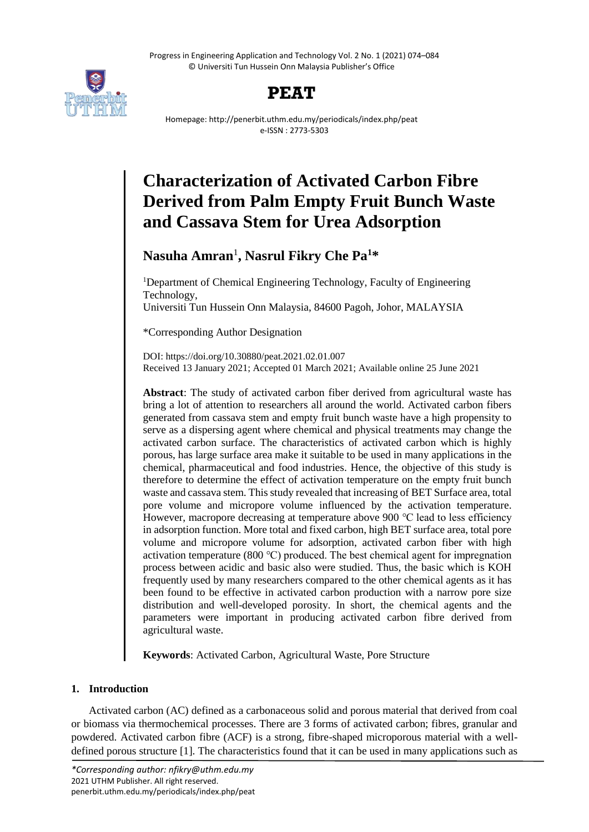Progress in Engineering Application and Technology Vol. 2 No. 1 (2021) 074–084 © Universiti Tun Hussein Onn Malaysia Publisher's Office





Homepage: http://penerbit.uthm.edu.my/periodicals/index.php/peat e-ISSN : 2773-5303

# **Characterization of Activated Carbon Fibre Derived from Palm Empty Fruit Bunch Waste and Cassava Stem for Urea Adsorption**

# **Nasuha Amran**<sup>1</sup> **, Nasrul Fikry Che Pa<sup>1</sup>\***

<sup>1</sup>Department of Chemical Engineering Technology, Faculty of Engineering Technology, Universiti Tun Hussein Onn Malaysia, 84600 Pagoh, Johor, MALAYSIA

\*Corresponding Author Designation

DOI: https://doi.org/10.30880/peat.2021.02.01.007 Received 13 January 2021; Accepted 01 March 2021; Available online 25 June 2021

**Abstract**: The study of activated carbon fiber derived from agricultural waste has bring a lot of attention to researchers all around the world. Activated carbon fibers generated from cassava stem and empty fruit bunch waste have a high propensity to serve as a dispersing agent where chemical and physical treatments may change the activated carbon surface. The characteristics of activated carbon which is highly porous, has large surface area make it suitable to be used in many applications in the chemical, pharmaceutical and food industries. Hence, the objective of this study is therefore to determine the effect of activation temperature on the empty fruit bunch waste and cassava stem. This study revealed that increasing of BET Surface area, total pore volume and micropore volume influenced by the activation temperature. However, macropore decreasing at temperature above 900 ℃ lead to less efficiency in adsorption function. More total and fixed carbon, high BET surface area, total pore volume and micropore volume for adsorption, activated carbon fiber with high activation temperature (800 ℃) produced. The best chemical agent for impregnation process between acidic and basic also were studied. Thus, the basic which is KOH frequently used by many researchers compared to the other chemical agents as it has been found to be effective in activated carbon production with a narrow pore size distribution and well-developed porosity. In short, the chemical agents and the parameters were important in producing activated carbon fibre derived from agricultural waste.

**Keywords**: Activated Carbon, Agricultural Waste, Pore Structure

# **1. Introduction**

Activated carbon (AC) defined as a carbonaceous solid and porous material that derived from coal or biomass via thermochemical processes. There are 3 forms of activated carbon; fibres, granular and powdered. Activated carbon fibre (ACF) is a strong, fibre-shaped microporous material with a welldefined porous structure [1]. The characteristics found that it can be used in many applications such as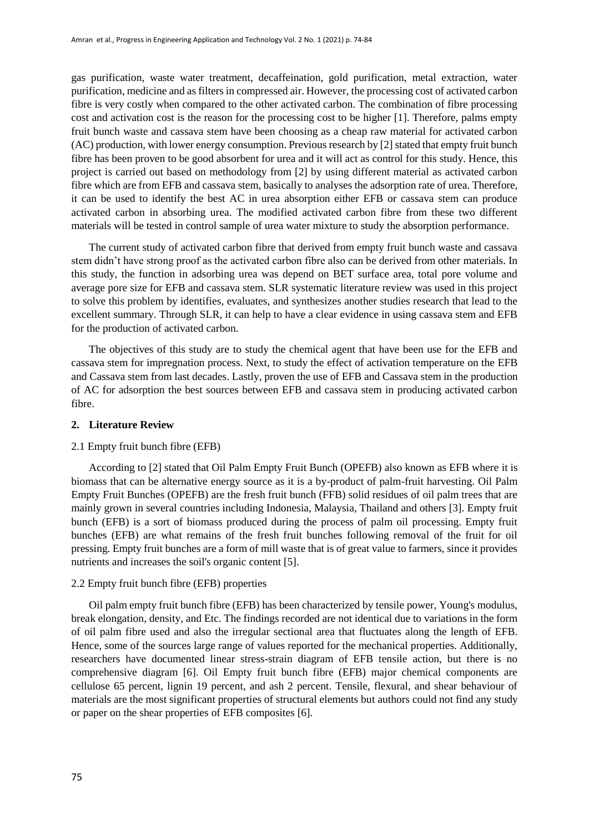gas purification, waste water treatment, decaffeination, gold purification, metal extraction, water purification, medicine and as filters in compressed air. However, the processing cost of activated carbon fibre is very costly when compared to the other activated carbon. The combination of fibre processing cost and activation cost is the reason for the processing cost to be higher [1]. Therefore, palms empty fruit bunch waste and cassava stem have been choosing as a cheap raw material for activated carbon (AC) production, with lower energy consumption. Previous research by [2] stated that empty fruit bunch fibre has been proven to be good absorbent for urea and it will act as control for this study. Hence, this project is carried out based on methodology from [2] by using different material as activated carbon fibre which are from EFB and cassava stem, basically to analyses the adsorption rate of urea. Therefore, it can be used to identify the best AC in urea absorption either EFB or cassava stem can produce activated carbon in absorbing urea. The modified activated carbon fibre from these two different materials will be tested in control sample of urea water mixture to study the absorption performance.

The current study of activated carbon fibre that derived from empty fruit bunch waste and cassava stem didn't have strong proof as the activated carbon fibre also can be derived from other materials. In this study, the function in adsorbing urea was depend on BET surface area, total pore volume and average pore size for EFB and cassava stem. SLR systematic literature review was used in this project to solve this problem by identifies, evaluates, and synthesizes another studies research that lead to the excellent summary. Through SLR, it can help to have a clear evidence in using cassava stem and EFB for the production of activated carbon.

The objectives of this study are to study the chemical agent that have been use for the EFB and cassava stem for impregnation process. Next, to study the effect of activation temperature on the EFB and Cassava stem from last decades. Lastly, proven the use of EFB and Cassava stem in the production of AC for adsorption the best sources between EFB and cassava stem in producing activated carbon fibre.

#### **2. Literature Review**

#### 2.1 Empty fruit bunch fibre (EFB)

According to [2] stated that Oil Palm Empty Fruit Bunch (OPEFB) also known as EFB where it is biomass that can be alternative energy source as it is a by-product of palm-fruit harvesting. Oil Palm Empty Fruit Bunches (OPEFB) are the fresh fruit bunch (FFB) solid residues of oil palm trees that are mainly grown in several countries including Indonesia, Malaysia, Thailand and others [3]. Empty fruit bunch (EFB) is a sort of biomass produced during the process of palm oil processing. Empty fruit bunches (EFB) are what remains of the fresh fruit bunches following removal of the fruit for oil pressing. Empty fruit bunches are a form of mill waste that is of great value to farmers, since it provides nutrients and increases the soil's organic content [5].

#### 2.2 Empty fruit bunch fibre (EFB) properties

Oil palm empty fruit bunch fibre (EFB) has been characterized by tensile power, Young's modulus, break elongation, density, and Etc. The findings recorded are not identical due to variations in the form of oil palm fibre used and also the irregular sectional area that fluctuates along the length of EFB. Hence, some of the sources large range of values reported for the mechanical properties. Additionally, researchers have documented linear stress-strain diagram of EFB tensile action, but there is no comprehensive diagram [6]. Oil Empty fruit bunch fibre (EFB) major chemical components are cellulose 65 percent, lignin 19 percent, and ash 2 percent. Tensile, flexural, and shear behaviour of materials are the most significant properties of structural elements but authors could not find any study or paper on the shear properties of EFB composites [6].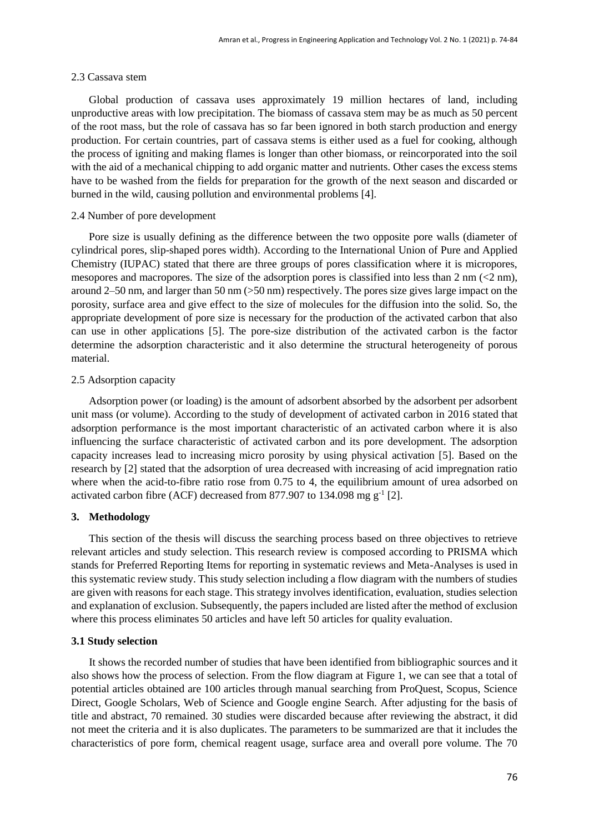#### 2.3 Cassava stem

Global production of cassava uses approximately 19 million hectares of land, including unproductive areas with low precipitation. The biomass of cassava stem may be as much as 50 percent of the root mass, but the role of cassava has so far been ignored in both starch production and energy production. For certain countries, part of cassava stems is either used as a fuel for cooking, although the process of igniting and making flames is longer than other biomass, or reincorporated into the soil with the aid of a mechanical chipping to add organic matter and nutrients. Other cases the excess stems have to be washed from the fields for preparation for the growth of the next season and discarded or burned in the wild, causing pollution and environmental problems [4].

### 2.4 Number of pore development

Pore size is usually defining as the difference between the two opposite pore walls (diameter of cylindrical pores, slip-shaped pores width). According to the International Union of Pure and Applied Chemistry (IUPAC) stated that there are three groups of pores classification where it is micropores, mesopores and macropores. The size of the adsorption pores is classified into less than  $2 \text{ nm} (\leq 2 \text{ nm})$ , around 2–50 nm, and larger than 50 nm (>50 nm) respectively. The pores size gives large impact on the porosity, surface area and give effect to the size of molecules for the diffusion into the solid. So, the appropriate development of pore size is necessary for the production of the activated carbon that also can use in other applications [5]. The pore-size distribution of the activated carbon is the factor determine the adsorption characteristic and it also determine the structural heterogeneity of porous material.

#### 2.5 Adsorption capacity

Adsorption power (or loading) is the amount of adsorbent absorbed by the adsorbent per adsorbent unit mass (or volume). According to the study of development of activated carbon in 2016 stated that adsorption performance is the most important characteristic of an activated carbon where it is also influencing the surface characteristic of activated carbon and its pore development. The adsorption capacity increases lead to increasing micro porosity by using physical activation [5]. Based on the research by [2] stated that the adsorption of urea decreased with increasing of acid impregnation ratio where when the acid-to-fibre ratio rose from 0.75 to 4, the equilibrium amount of urea adsorbed on activated carbon fibre (ACF) decreased from 877.907 to 134.098 mg  $g^{-1}$  [2].

# **3. Methodology**

This section of the thesis will discuss the searching process based on three objectives to retrieve relevant articles and study selection. This research review is composed according to PRISMA which stands for Preferred Reporting Items for reporting in systematic reviews and Meta-Analyses is used in this systematic review study. This study selection including a flow diagram with the numbers of studies are given with reasons for each stage. This strategy involves identification, evaluation, studies selection and explanation of exclusion. Subsequently, the papers included are listed after the method of exclusion where this process eliminates 50 articles and have left 50 articles for quality evaluation.

#### **3.1 Study selection**

It shows the recorded number of studies that have been identified from bibliographic sources and it also shows how the process of selection. From the flow diagram at Figure 1, we can see that a total of potential articles obtained are 100 articles through manual searching from ProQuest, Scopus, Science Direct, Google Scholars, Web of Science and Google engine Search. After adjusting for the basis of title and abstract, 70 remained. 30 studies were discarded because after reviewing the abstract, it did not meet the criteria and it is also duplicates. The parameters to be summarized are that it includes the characteristics of pore form, chemical reagent usage, surface area and overall pore volume. The 70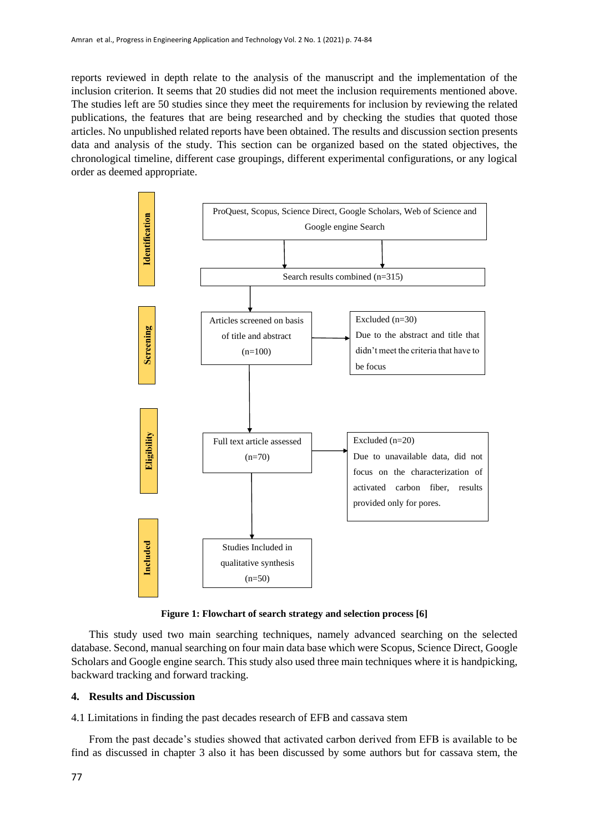reports reviewed in depth relate to the analysis of the manuscript and the implementation of the inclusion criterion. It seems that 20 studies did not meet the inclusion requirements mentioned above. The studies left are 50 studies since they meet the requirements for inclusion by reviewing the related publications, the features that are being researched and by checking the studies that quoted those articles. No unpublished related reports have been obtained. The results and discussion section presents data and analysis of the study. This section can be organized based on the stated objectives, the chronological timeline, different case groupings, different experimental configurations, or any logical order as deemed appropriate.



**Figure 1: Flowchart of search strategy and selection process [6]**

This study used two main searching techniques, namely advanced searching on the selected database. Second, manual searching on four main data base which were Scopus, Science Direct, Google Scholars and Google engine search. This study also used three main techniques where it is handpicking, backward tracking and forward tracking.

# **4. Results and Discussion**

4.1 Limitations in finding the past decades research of EFB and cassava stem

From the past decade's studies showed that activated carbon derived from EFB is available to be find as discussed in chapter 3 also it has been discussed by some authors but for cassava stem, the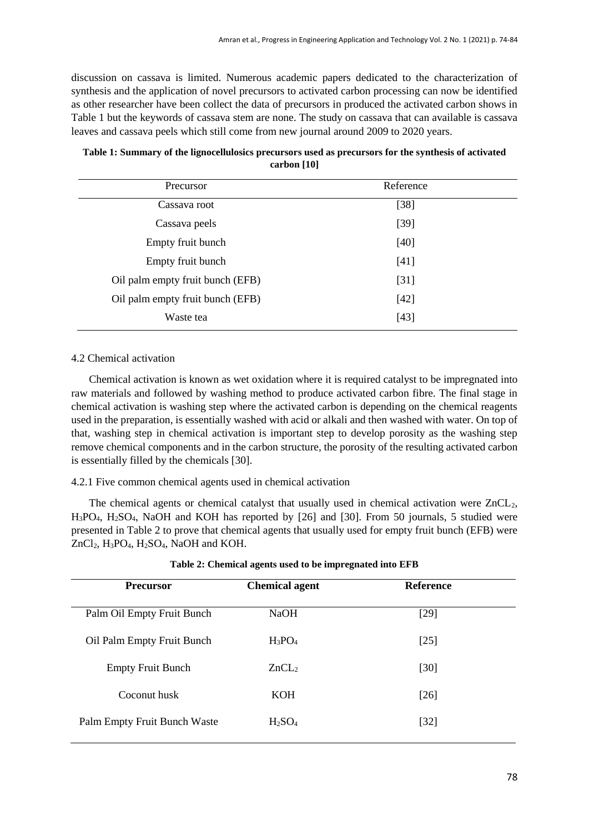discussion on cassava is limited. Numerous academic papers dedicated to the characterization of synthesis and the application of novel precursors to activated carbon processing can now be identified as other researcher have been collect the data of precursors in produced the activated carbon shows in Table 1 but the keywords of cassava stem are none. The study on cassava that can available is cassava leaves and cassava peels which still come from new journal around 2009 to 2020 years.

| Precursor                        | Reference |  |
|----------------------------------|-----------|--|
| Cassava root                     | $[38]$    |  |
| Cassava peels                    | $[39]$    |  |
| Empty fruit bunch                | [40]      |  |
| Empty fruit bunch                | [41]      |  |
| Oil palm empty fruit bunch (EFB) | [31]      |  |
| Oil palm empty fruit bunch (EFB) | $[42]$    |  |
| Waste tea                        | $[43]$    |  |
|                                  |           |  |

| Table 1: Summary of the lignocellulosics precursors used as precursors for the synthesis of activated |
|-------------------------------------------------------------------------------------------------------|
| carbon [10]                                                                                           |

# 4.2 Chemical activation

Chemical activation is known as wet oxidation where it is required catalyst to be impregnated into raw materials and followed by washing method to produce activated carbon fibre. The final stage in chemical activation is washing step where the activated carbon is depending on the chemical reagents used in the preparation, is essentially washed with acid or alkali and then washed with water. On top of that, washing step in chemical activation is important step to develop porosity as the washing step remove chemical components and in the carbon structure, the porosity of the resulting activated carbon is essentially filled by the chemicals [30].

# 4.2.1 Five common chemical agents used in chemical activation

The chemical agents or chemical catalyst that usually used in chemical activation were  $ZnCL<sub>2</sub>$ , H3PO4, H2SO4, NaOH and KOH has reported by [26] and [30]. From 50 journals, 5 studied were presented in Table 2 to prove that chemical agents that usually used for empty fruit bunch (EFB) were ZnCl<sub>2</sub>, H<sub>3</sub>PO<sub>4</sub>, H<sub>2</sub>SO<sub>4</sub>, NaOH and KOH.

| <b>Precursor</b>             | <b>Chemical agent</b>          | <b>Reference</b> |  |
|------------------------------|--------------------------------|------------------|--|
| Palm Oil Empty Fruit Bunch   | <b>NaOH</b>                    | [29]             |  |
| Oil Palm Empty Fruit Bunch   | $H_3PO_4$                      | $[25]$           |  |
| <b>Empty Fruit Bunch</b>     | ZnCL <sub>2</sub>              | [30]             |  |
| Coconut husk                 | <b>KOH</b>                     | $[26]$           |  |
| Palm Empty Fruit Bunch Waste | H <sub>2</sub> SO <sub>4</sub> | $[32]$           |  |

| Table 2: Chemical agents used to be impregnated into EFB |  |  |  |  |
|----------------------------------------------------------|--|--|--|--|
|                                                          |  |  |  |  |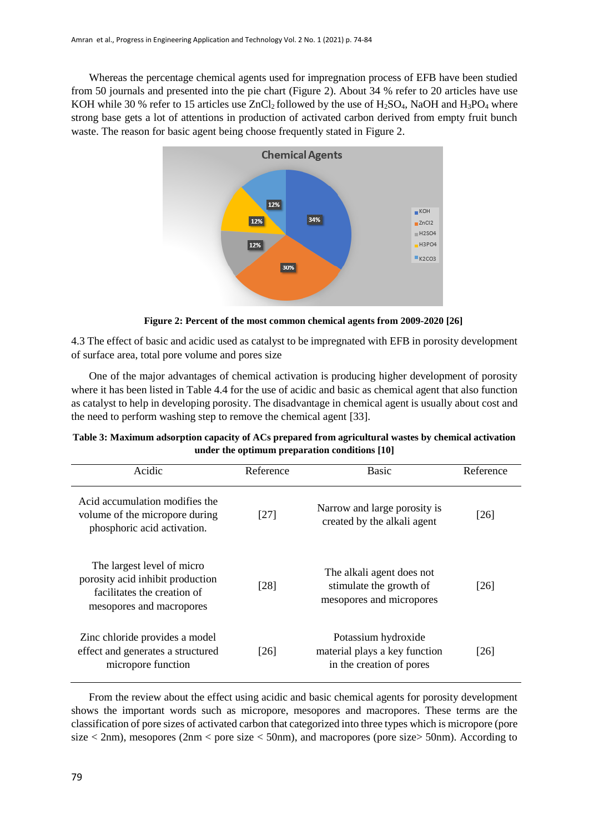Whereas the percentage chemical agents used for impregnation process of EFB have been studied from 50 journals and presented into the pie chart (Figure 2). About 34 % refer to 20 articles have use KOH while 30 % refer to 15 articles use  $ZnCl_2$  followed by the use of H<sub>2</sub>SO<sub>4</sub>, NaOH and H<sub>3</sub>PO<sub>4</sub> where strong base gets a lot of attentions in production of activated carbon derived from empty fruit bunch waste. The reason for basic agent being choose frequently stated in Figure 2.



**Figure 2: Percent of the most common chemical agents from 2009-2020 [26]**

4.3 The effect of basic and acidic used as catalyst to be impregnated with EFB in porosity development of surface area, total pore volume and pores size

One of the major advantages of chemical activation is producing higher development of porosity where it has been listed in Table 4.4 for the use of acidic and basic as chemical agent that also function as catalyst to help in developing porosity. The disadvantage in chemical agent is usually about cost and the need to perform washing step to remove the chemical agent [33].

| Acidic                                                                                                                    | Reference | <b>Basic</b>                                                                     | Reference |
|---------------------------------------------------------------------------------------------------------------------------|-----------|----------------------------------------------------------------------------------|-----------|
| Acid accumulation modifies the<br>volume of the micropore during<br>phosphoric acid activation.                           | $[27]$    | Narrow and large porosity is<br>created by the alkali agent                      | [26]      |
| The largest level of micro<br>porosity acid inhibit production<br>facilitates the creation of<br>mesopores and macropores | [28]      | The alkali agent does not<br>stimulate the growth of<br>mesopores and micropores | [26]      |
| Zinc chloride provides a model<br>effect and generates a structured<br>micropore function                                 | [26]      | Potassium hydroxide<br>material plays a key function<br>in the creation of pores | [26]      |

| Table 3: Maximum adsorption capacity of ACs prepared from agricultural wastes by chemical activation |  |
|------------------------------------------------------------------------------------------------------|--|
| under the optimum preparation conditions [10]                                                        |  |

From the review about the effect using acidic and basic chemical agents for porosity development shows the important words such as micropore, mesopores and macropores. These terms are the classification of pore sizes of activated carbon that categorized into three types which is micropore (pore size  $\langle$  2nm), mesopores (2nm  $\langle$  pore size  $\langle$  50nm), and macropores (pore size  $\langle$  50nm). According to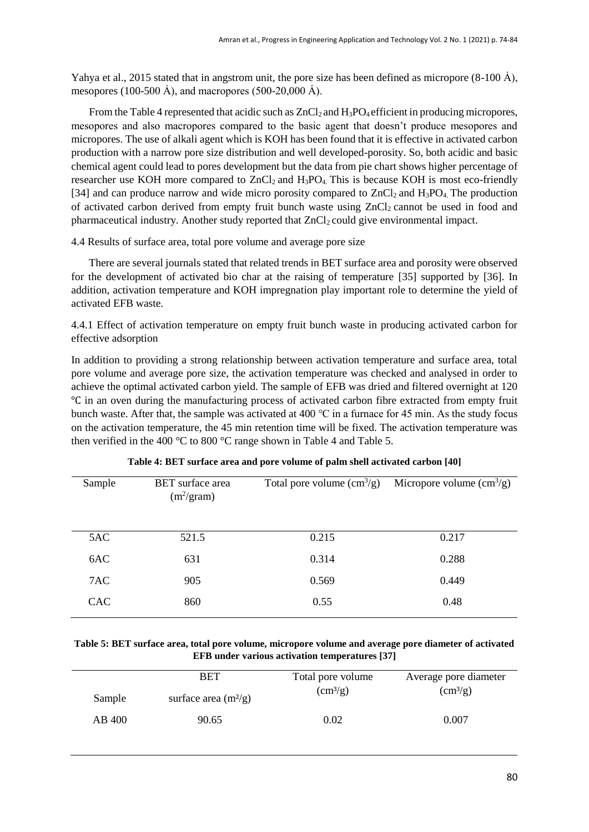Yahya et al., 2015 stated that in angstrom unit, the pore size has been defined as micropore  $(8-100 \text{ Å})$ , mesopores (100-500 Å), and macropores (500-20,000 Å).

From the Table 4 represented that acidic such as  $ZnCl<sub>2</sub>$  and  $H<sub>3</sub>PO<sub>4</sub>$  efficient in producing micropores, mesopores and also macropores compared to the basic agent that doesn't produce mesopores and micropores. The use of alkali agent which is KOH has been found that it is effective in activated carbon production with a narrow pore size distribution and well developed-porosity. So, both acidic and basic chemical agent could lead to pores development but the data from pie chart shows higher percentage of researcher use KOH more compared to  $ZnCl<sub>2</sub>$  and  $H<sub>3</sub>PO<sub>4</sub>$  This is because KOH is most eco-friendly [34] and can produce narrow and wide micro porosity compared to  $ZnCl<sub>2</sub>$  and  $H<sub>3</sub>PO<sub>4</sub>$ . The production of activated carbon derived from empty fruit bunch waste using ZnCl<sub>2</sub> cannot be used in food and pharmaceutical industry. Another study reported that ZnCl<sub>2</sub> could give environmental impact.

4.4 Results of surface area, total pore volume and average pore size

There are several journals stated that related trends in BET surface area and porosity were observed for the development of activated bio char at the raising of temperature [35] supported by [36]. In addition, activation temperature and KOH impregnation play important role to determine the yield of activated EFB waste.

4.4.1 Effect of activation temperature on empty fruit bunch waste in producing activated carbon for effective adsorption

In addition to providing a strong relationship between activation temperature and surface area, total pore volume and average pore size, the activation temperature was checked and analysed in order to achieve the optimal activated carbon yield. The sample of EFB was dried and filtered overnight at 120 ℃ in an oven during the manufacturing process of activated carbon fibre extracted from empty fruit bunch waste. After that, the sample was activated at 400  $\degree$ C in a furnace for 45 min. As the study focus on the activation temperature, the 45 min retention time will be fixed. The activation temperature was then verified in the 400 °C to 800 °C range shown in Table 4 and Table 5.

| Sample     | <b>BET</b> surface area<br>$(m^2/\text{gram})$ | Total pore volume $\rm (cm^3/g)$ | Micropore volume $\text{cm}^3\text{/g}$ ) |
|------------|------------------------------------------------|----------------------------------|-------------------------------------------|
| 5AC        | 521.5                                          | 0.215                            | 0.217                                     |
| 6AC        | 631                                            | 0.314                            | 0.288                                     |
| 7AC        | 905                                            | 0.569                            | 0.449                                     |
| <b>CAC</b> | 860                                            | 0.55                             | 0.48                                      |
|            |                                                |                                  |                                           |

**Table 5: BET surface area, total pore volume, micropore volume and average pore diameter of activated EFB under various activation temperatures [37]**

|        | <b>BET</b>             | Total pore volume | Average pore diameter |
|--------|------------------------|-------------------|-----------------------|
| Sample | surface area $(m^2/g)$ | $\rm (cm^3/g)$    | $\rm (cm^3/g)$        |
| AB 400 | 90.65                  | 0.02              | 0.007                 |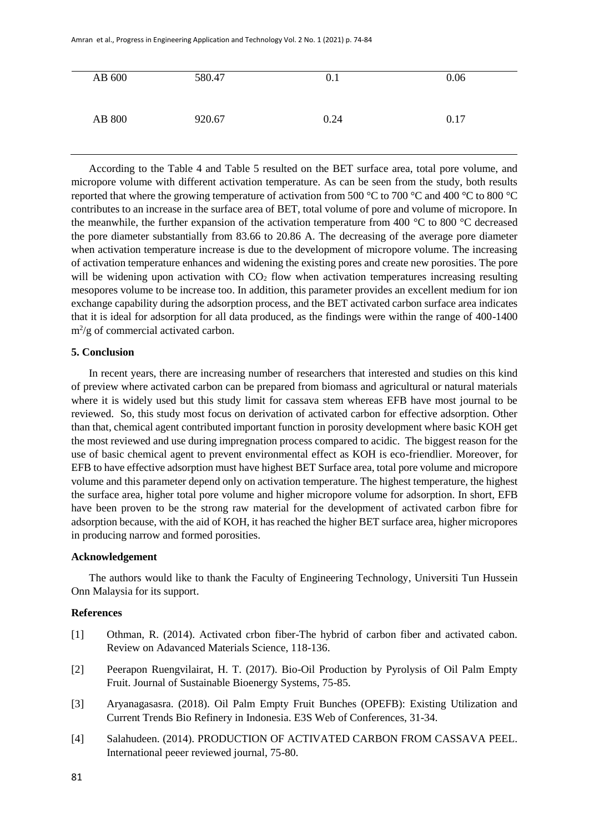| AB 600        | 580.47 | 0.1  | 0.06 |
|---------------|--------|------|------|
| <b>AB 800</b> | 920.67 | 0.24 | 0.17 |

According to the Table 4 and Table 5 resulted on the BET surface area, total pore volume, and micropore volume with different activation temperature. As can be seen from the study, both results reported that where the growing temperature of activation from 500 °C to 700 °C and 400 °C to 800 °C contributes to an increase in the surface area of BET, total volume of pore and volume of micropore. In the meanwhile, the further expansion of the activation temperature from 400 °C to 800 °C decreased the pore diameter substantially from 83.66 to 20.86 A. The decreasing of the average pore diameter when activation temperature increase is due to the development of micropore volume. The increasing of activation temperature enhances and widening the existing pores and create new porosities. The pore will be widening upon activation with  $CO<sub>2</sub>$  flow when activation temperatures increasing resulting mesopores volume to be increase too. In addition, this parameter provides an excellent medium for ion exchange capability during the adsorption process, and the BET activated carbon surface area indicates that it is ideal for adsorption for all data produced, as the findings were within the range of 400-1400  $m^2/g$  of commercial activated carbon.

# **5. Conclusion**

In recent years, there are increasing number of researchers that interested and studies on this kind of preview where activated carbon can be prepared from biomass and agricultural or natural materials where it is widely used but this study limit for cassava stem whereas EFB have most journal to be reviewed. So, this study most focus on derivation of activated carbon for effective adsorption. Other than that, chemical agent contributed important function in porosity development where basic KOH get the most reviewed and use during impregnation process compared to acidic. The biggest reason for the use of basic chemical agent to prevent environmental effect as KOH is eco-friendlier. Moreover, for EFB to have effective adsorption must have highest BET Surface area, total pore volume and micropore volume and this parameter depend only on activation temperature. The highest temperature, the highest the surface area, higher total pore volume and higher micropore volume for adsorption. In short, EFB have been proven to be the strong raw material for the development of activated carbon fibre for adsorption because, with the aid of KOH, it has reached the higher BET surface area, higher micropores in producing narrow and formed porosities.

### **Acknowledgement**

The authors would like to thank the Faculty of Engineering Technology, Universiti Tun Hussein Onn Malaysia for its support.

# **References**

- [1] Othman, R. (2014). Activated crbon fiber-The hybrid of carbon fiber and activated cabon. Review on Adavanced Materials Science, 118-136.
- [2] Peerapon Ruengvilairat, H. T. (2017). Bio-Oil Production by Pyrolysis of Oil Palm Empty Fruit. Journal of Sustainable Bioenergy Systems, 75-85.
- [3] Aryanagasasra. (2018). Oil Palm Empty Fruit Bunches (OPEFB): Existing Utilization and Current Trends Bio Refinery in Indonesia. E3S Web of Conferences, 31-34.
- [4] Salahudeen. (2014). PRODUCTION OF ACTIVATED CARBON FROM CASSAVA PEEL. International peeer reviewed journal, 75-80.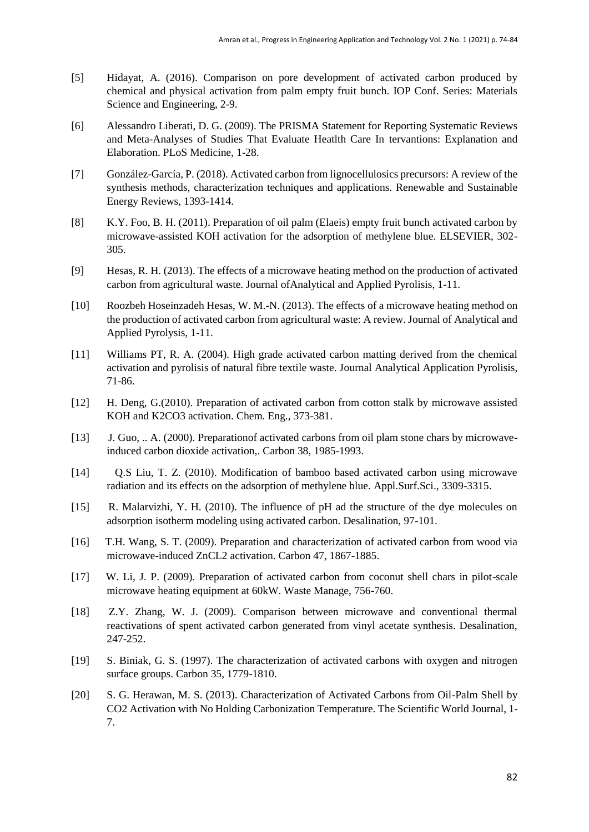- [5] Hidayat, A. (2016). Comparison on pore development of activated carbon produced by chemical and physical activation from palm empty fruit bunch. IOP Conf. Series: Materials Science and Engineering, 2-9.
- [6] Alessandro Liberati, D. G. (2009). The PRISMA Statement for Reporting Systematic Reviews and Meta-Analyses of Studies That Evaluate Heatlth Care In tervantions: Explanation and Elaboration. PLoS Medicine, 1-28.
- [7] González-García, P. (2018). Activated carbon from lignocellulosics precursors: A review of the synthesis methods, characterization techniques and applications. Renewable and Sustainable Energy Reviews, 1393-1414.
- [8] K.Y. Foo, B. H. (2011). Preparation of oil palm (Elaeis) empty fruit bunch activated carbon by microwave-assisted KOH activation for the adsorption of methylene blue. ELSEVIER, 302- 305.
- [9] Hesas, R. H. (2013). The effects of a microwave heating method on the production of activated carbon from agricultural waste. Journal ofAnalytical and Applied Pyrolisis, 1-11.
- [10] Roozbeh Hoseinzadeh Hesas, W. M.-N. (2013). The effects of a microwave heating method on the production of activated carbon from agricultural waste: A review. Journal of Analytical and Applied Pyrolysis, 1-11.
- [11] Williams PT, R. A. (2004). High grade activated carbon matting derived from the chemical activation and pyrolisis of natural fibre textile waste. Journal Analytical Application Pyrolisis, 71-86.
- [12] H. Deng, G.(2010). Preparation of activated carbon from cotton stalk by microwave assisted KOH and K2CO3 activation. Chem. Eng., 373-381.
- [13] J. Guo, .. A. (2000). Preparation factivated carbons from oil plam stone chars by microwaveinduced carbon dioxide activation,. Carbon 38, 1985-1993.
- [14] Q.S Liu, T. Z. (2010). Modification of bamboo based activated carbon using microwave radiation and its effects on the adsorption of methylene blue. Appl.Surf.Sci., 3309-3315.
- [15] R. Malarvizhi, Y. H. (2010). The influence of pH ad the structure of the dye molecules on adsorption isotherm modeling using activated carbon. Desalination, 97-101.
- [16] T.H. Wang, S. T. (2009). Preparation and characterization of activated carbon from wood via microwave-induced ZnCL2 activation. Carbon 47, 1867-1885.
- [17] W. Li, J. P. (2009). Preparation of activated carbon from coconut shell chars in pilot-scale microwave heating equipment at 60kW. Waste Manage, 756-760.
- [18] Z.Y. Zhang, W. J. (2009). Comparison between microwave and conventional thermal reactivations of spent activated carbon generated from vinyl acetate synthesis. Desalination, 247-252.
- [19] S. Biniak, G. S. (1997). The characterization of activated carbons with oxygen and nitrogen surface groups. Carbon 35, 1779-1810.
- [20] S. G. Herawan, M. S. (2013). Characterization of Activated Carbons from Oil-Palm Shell by CO2 Activation with No Holding Carbonization Temperature. The Scientific World Journal, 1- 7.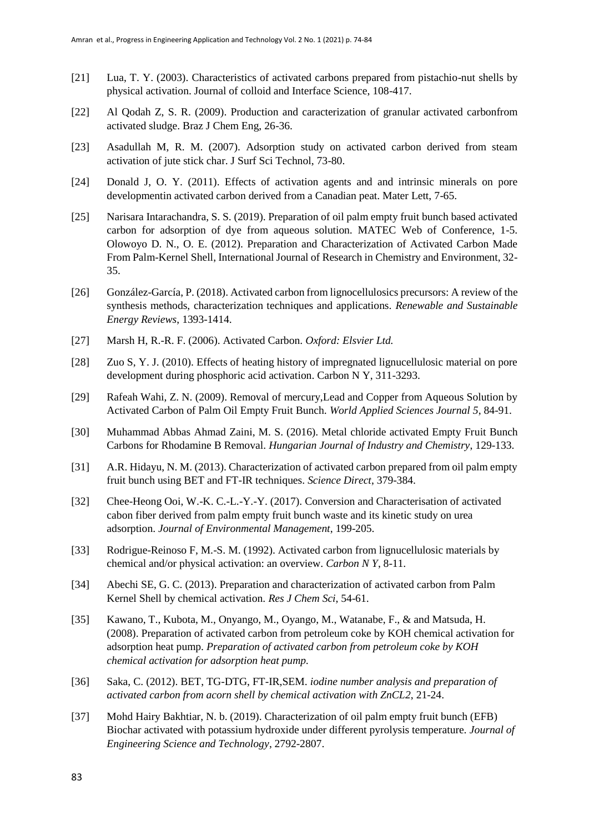- [21] Lua, T. Y. (2003). Characteristics of activated carbons prepared from pistachio-nut shells by physical activation. Journal of colloid and Interface Science, 108-417.
- [22] Al Qodah Z, S. R. (2009). Production and caracterization of granular activated carbonfrom activated sludge. Braz J Chem Eng, 26-36.
- [23] Asadullah M, R. M. (2007). Adsorption study on activated carbon derived from steam activation of jute stick char. J Surf Sci Technol, 73-80.
- [24] Donald J, O. Y. (2011). Effects of activation agents and and intrinsic minerals on pore developmentin activated carbon derived from a Canadian peat. Mater Lett, 7-65.
- [25] Narisara Intarachandra, S. S. (2019). Preparation of oil palm empty fruit bunch based activated carbon for adsorption of dye from aqueous solution. MATEC Web of Conference, 1-5. Olowoyo D. N., O. E. (2012). Preparation and Characterization of Activated Carbon Made From Palm-Kernel Shell, International Journal of Research in Chemistry and Environment, 32- 35.
- [26] González-García, P. (2018). Activated carbon from lignocellulosics precursors: A review of the synthesis methods, characterization techniques and applications. *Renewable and Sustainable Energy Reviews*, 1393-1414.
- [27] Marsh H, R.-R. F. (2006). Activated Carbon. *Oxford: Elsvier Ltd.*
- [28] Zuo S, Y. J. (2010). Effects of heating history of impregnated lignucellulosic material on pore development during phosphoric acid activation. Carbon N Y, 311-3293.
- [29] Rafeah Wahi, Z. N. (2009). Removal of mercury,Lead and Copper from Aqueous Solution by Activated Carbon of Palm Oil Empty Fruit Bunch. *World Applied Sciences Journal 5*, 84-91.
- [30] Muhammad Abbas Ahmad Zaini, M. S. (2016). Metal chloride activated Empty Fruit Bunch Carbons for Rhodamine B Removal. *Hungarian Journal of Industry and Chemistry*, 129-133.
- [31] A.R. Hidayu, N. M. (2013). Characterization of activated carbon prepared from oil palm empty fruit bunch using BET and FT-IR techniques. *Science Direct*, 379-384.
- [32] Chee-Heong Ooi, W.-K. C.-L.-Y.-Y. (2017). Conversion and Characterisation of activated cabon fiber derived from palm empty fruit bunch waste and its kinetic study on urea adsorption. *Journal of Environmental Management*, 199-205.
- [33] Rodrigue-Reinoso F, M.-S. M. (1992). Activated carbon from lignucellulosic materials by chemical and/or physical activation: an overview. *Carbon N Y*, 8-11.
- [34] Abechi SE, G. C. (2013). Preparation and characterization of activated carbon from Palm Kernel Shell by chemical activation. *Res J Chem Sci*, 54-61.
- [35] Kawano, T., Kubota, M., Onyango, M., Oyango, M., Watanabe, F., & and Matsuda, H. (2008). Preparation of activated carbon from petroleum coke by KOH chemical activation for adsorption heat pump. *Preparation of activated carbon from petroleum coke by KOH chemical activation for adsorption heat pump.*
- [36] Saka, C. (2012). BET, TG-DTG, FT-IR,SEM. *iodine number analysis and preparation of activated carbon from acorn shell by chemical activation with ZnCL2*, 21-24.
- [37] Mohd Hairy Bakhtiar, N. b. (2019). Characterization of oil palm empty fruit bunch (EFB) Biochar activated with potassium hydroxide under different pyrolysis temperature. *Journal of Engineering Science and Technology*, 2792-2807.